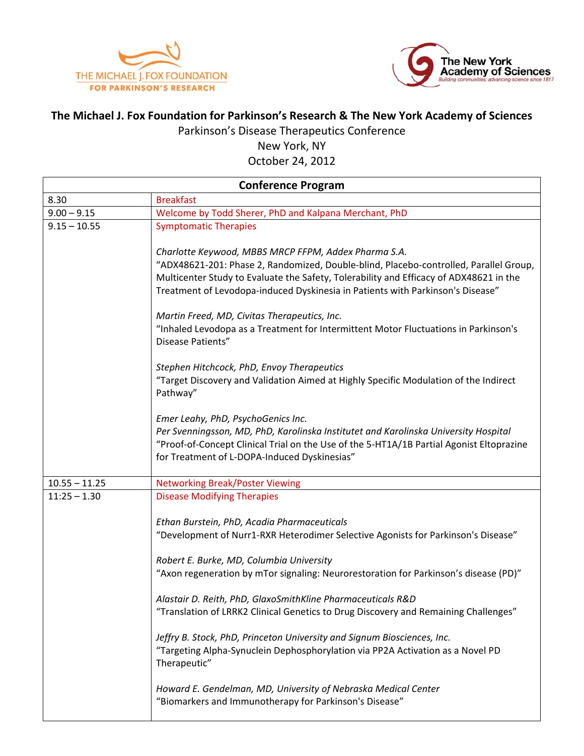



## **The Michael J. Fox Foundation for Parkinson's Research & The New York Academy of Sciences**

Parkinson's Disease Therapeutics Conference

New York, NY October 24, 2012

| <b>Conference Program</b> |                                                                                                                                                                                                                                                                                                                           |
|---------------------------|---------------------------------------------------------------------------------------------------------------------------------------------------------------------------------------------------------------------------------------------------------------------------------------------------------------------------|
| 8.30                      | <b>Breakfast</b>                                                                                                                                                                                                                                                                                                          |
| $9.00 - 9.15$             | Welcome by Todd Sherer, PhD and Kalpana Merchant, PhD                                                                                                                                                                                                                                                                     |
| $9.15 - 10.55$            | <b>Symptomatic Therapies</b>                                                                                                                                                                                                                                                                                              |
|                           | Charlotte Keywood, MBBS MRCP FFPM, Addex Pharma S.A.<br>"ADX48621-201: Phase 2, Randomized, Double-blind, Placebo-controlled, Parallel Group,<br>Multicenter Study to Evaluate the Safety, Tolerability and Efficacy of ADX48621 in the<br>Treatment of Levodopa-induced Dyskinesia in Patients with Parkinson's Disease" |
|                           | Martin Freed, MD, Civitas Therapeutics, Inc.<br>"Inhaled Levodopa as a Treatment for Intermittent Motor Fluctuations in Parkinson's<br>Disease Patients"                                                                                                                                                                  |
|                           | Stephen Hitchcock, PhD, Envoy Therapeutics<br>"Target Discovery and Validation Aimed at Highly Specific Modulation of the Indirect<br>Pathway"                                                                                                                                                                            |
|                           | Emer Leahy, PhD, PsychoGenics Inc.<br>Per Svenningsson, MD, PhD, Karolinska Institutet and Karolinska University Hospital<br>"Proof-of-Concept Clinical Trial on the Use of the 5-HT1A/1B Partial Agonist Eltoprazine<br>for Treatment of L-DOPA-Induced Dyskinesias"                                                     |
| $10.55 - 11.25$           | <b>Networking Break/Poster Viewing</b>                                                                                                                                                                                                                                                                                    |
| $11:25 - 1.30$            | <b>Disease Modifying Therapies</b><br>Ethan Burstein, PhD, Acadia Pharmaceuticals<br>"Development of Nurr1-RXR Heterodimer Selective Agonists for Parkinson's Disease"                                                                                                                                                    |
|                           | Robert E. Burke, MD, Columbia University<br>"Axon regeneration by mTor signaling: Neurorestoration for Parkinson's disease (PD)"                                                                                                                                                                                          |
|                           | Alastair D. Reith, PhD, GlaxoSmithKline Pharmaceuticals R&D<br>"Translation of LRRK2 Clinical Genetics to Drug Discovery and Remaining Challenges"                                                                                                                                                                        |
|                           | Jeffry B. Stock, PhD, Princeton University and Signum Biosciences, Inc.<br>"Targeting Alpha-Synuclein Dephosphorylation via PP2A Activation as a Novel PD<br>Therapeutic"                                                                                                                                                 |
|                           | Howard E. Gendelman, MD, University of Nebraska Medical Center<br>"Biomarkers and Immunotherapy for Parkinson's Disease"                                                                                                                                                                                                  |